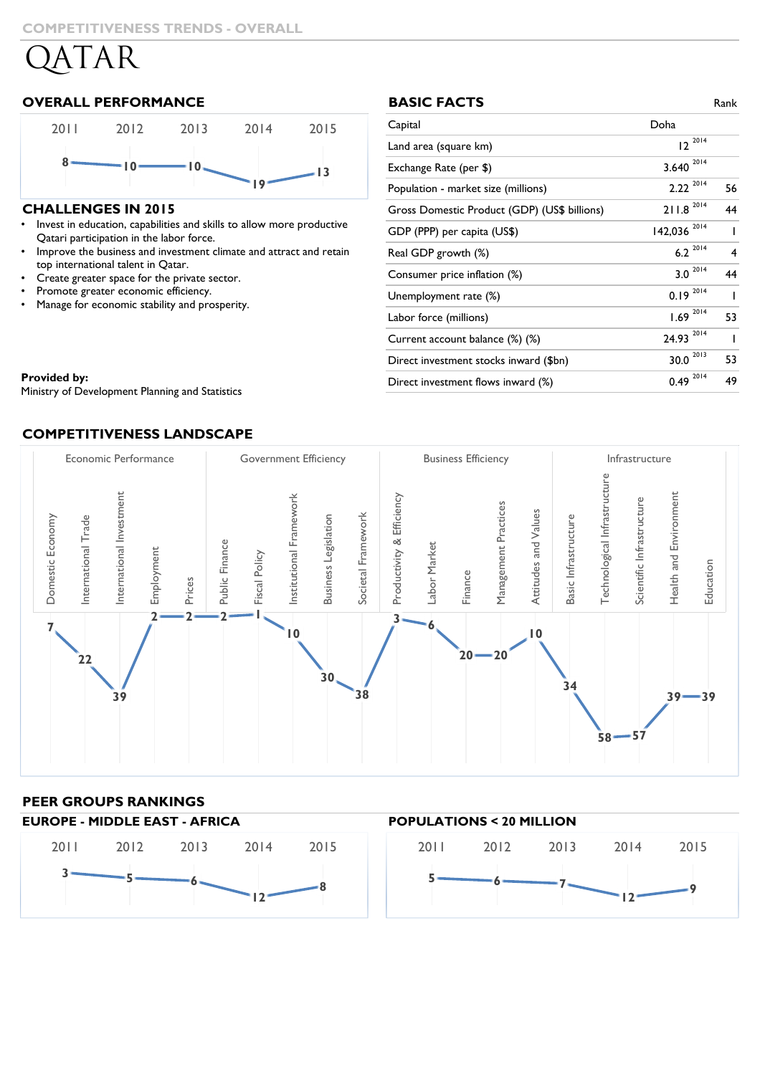# **OVERALL PERFORMANCE**



## **CHALLENGES IN 2015**

- Invest in education, capabilities and skills to allow more productive Qatari participation in the labor force.
- Improve the business and investment climate and attract and retain top international talent in Qatar.
- Create greater space for the private sector.
- Promote greater economic efficiency.
- Manage for economic stability and prosperity.

| <b>BASIC FACTS</b>                           |                         | Rank           |
|----------------------------------------------|-------------------------|----------------|
| Capital                                      | Doha                    |                |
| Land area (square km)                        | $12^{2014}$             |                |
| Exchange Rate (per \$)                       | 2014<br>3.640           |                |
| Population - market size (millions)          | $2.22^{2014}$           | 56             |
| Gross Domestic Product (GDP) (US\$ billions) | $211.8$ <sup>2014</sup> | 44             |
| GDP (PPP) per capita (US\$)                  | 142,036 2014            | $\overline{1}$ |
| Real GDP growth (%)                          | $6.2^{2014}$            | 4              |
| Consumer price inflation (%)                 | $3.0 \times 10^{-2014}$ | 44             |
| Unemployment rate (%)                        | 2014<br>0.19            | ı              |
| Labor force (millions)                       | $1.69^{2014}$           | 53             |
| Current account balance (%) (%)              | 2014<br>24.93           | ı              |
| Direct investment stocks inward (\$bn)       | 2013<br>30.0            | 53             |
| Direct investment flows inward (%)           | 2014<br>0.49            | 49             |

**Provided by:** The Development Planning and Statistics and Statistics and Statistics and Statistics and Statistics

Ministry of Development Planning and Statistics

## **COMPETITIVENESS LANDSCAPE**



# **PEER GROUPS RANKINGS**

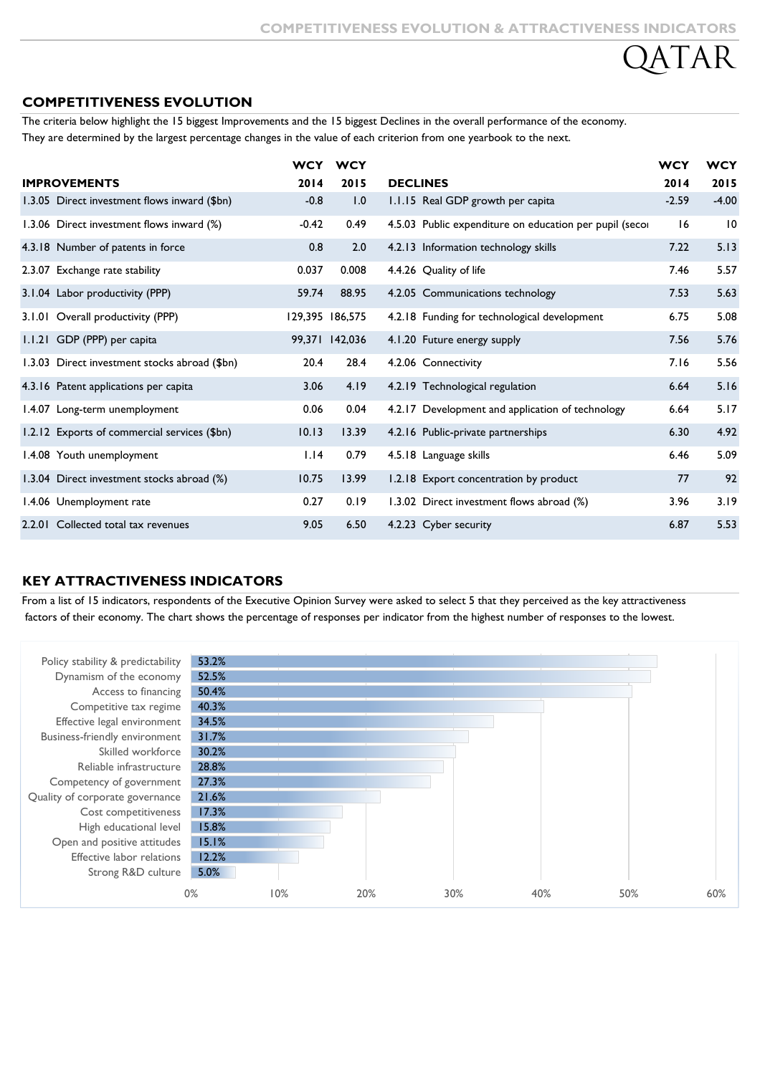# **COMPETITIVENESS EVOLUTION**

The criteria below highlight the 15 biggest Improvements and the 15 biggest Declines in the overall performance of the economy. They are determined by the largest percentage changes in the value of each criterion from one yearbook to the next.

|                                               | <b>WCY</b> | <b>WCY</b>      |                 |                                                         | <b>WCY</b> | <b>WCY</b> |
|-----------------------------------------------|------------|-----------------|-----------------|---------------------------------------------------------|------------|------------|
| <b>IMPROVEMENTS</b>                           | 2014       | 2015            | <b>DECLINES</b> |                                                         | 2014       | 2015       |
| 1.3.05 Direct investment flows inward (\$bn)  | $-0.8$     | 1.0             |                 | 1.1.15 Real GDP growth per capita                       | $-2.59$    | $-4.00$    |
| 1.3.06 Direct investment flows inward (%)     | $-0.42$    | 0.49            |                 | 4.5.03 Public expenditure on education per pupil (secor | 16         | 10         |
| 4.3.18 Number of patents in force             | 0.8        | 2.0             |                 | 4.2.13 Information technology skills                    | 7.22       | 5.13       |
| 2.3.07 Exchange rate stability                | 0.037      | 0.008           |                 | 4.4.26 Quality of life                                  | 7.46       | 5.57       |
| 3.1.04 Labor productivity (PPP)               | 59.74      | 88.95           |                 | 4.2.05 Communications technology                        | 7.53       | 5.63       |
| 3.1.01 Overall productivity (PPP)             |            | 129,395 186,575 |                 | 4.2.18 Funding for technological development            | 6.75       | 5.08       |
| 1.1.21 GDP (PPP) per capita                   |            | 99,371 142,036  |                 | 4.1.20 Future energy supply                             | 7.56       | 5.76       |
| 1.3.03 Direct investment stocks abroad (\$bn) | 20.4       | 28.4            |                 | 4.2.06 Connectivity                                     | 7.16       | 5.56       |
| 4.3.16 Patent applications per capita         | 3.06       | 4.19            |                 | 4.2.19 Technological regulation                         | 6.64       | 5.16       |
| 1.4.07 Long-term unemployment                 | 0.06       | 0.04            |                 | 4.2.17 Development and application of technology        | 6.64       | 5.17       |
| 1.2.12 Exports of commercial services (\$bn)  | 10.13      | 13.39           |                 | 4.2.16 Public-private partnerships                      | 6.30       | 4.92       |
| 1.4.08 Youth unemployment                     | 1.14       | 0.79            |                 | 4.5.18 Language skills                                  | 6.46       | 5.09       |
| 1.3.04 Direct investment stocks abroad (%)    | 10.75      | 13.99           |                 | 1.2.18 Export concentration by product                  | 77         | 92         |
| 1.4.06 Unemployment rate                      | 0.27       | 0.19            |                 | 1.3.02 Direct investment flows abroad (%)               | 3.96       | 3.19       |
| 2.2.01 Collected total tax revenues           | 9.05       | 6.50            |                 | 4.2.23 Cyber security                                   | 6.87       | 5.53       |

## **KEY ATTRACTIVENESS INDICATORS**

From a list of 15 indicators, respondents of the Executive Opinion Survey were asked to select 5 that they perceived as the key attractiveness factors of their economy. The chart shows the percentage of responses per indicator from the highest number of responses to the lowest.

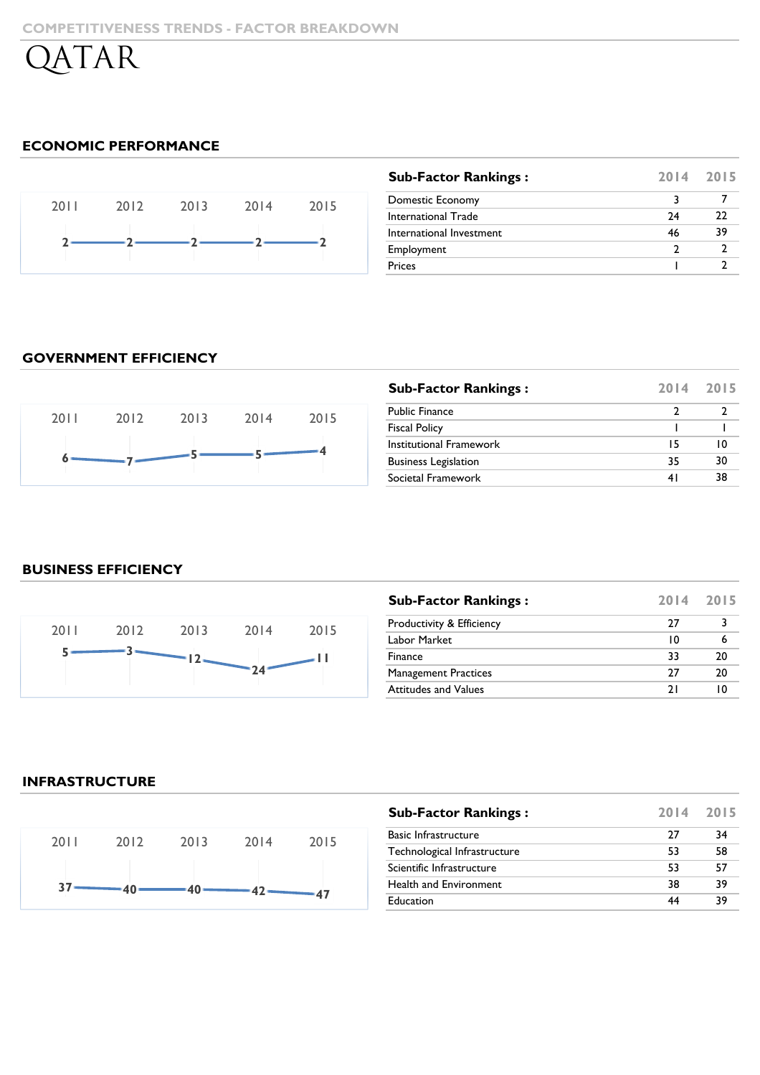# **ECONOMIC PERFORMANCE**



| <b>Sub-Factor Rankings:</b> |    | 2014 2015 |
|-----------------------------|----|-----------|
| Domestic Economy            |    |           |
| International Trade         | 24 | רר        |
| International Investment    | 46 | 39        |
| Employment                  | ר  |           |
| Prices                      |    |           |

# **GOVERNMENT EFFICIENCY**



| <b>Sub-Factor Rankings:</b> |     | 2014 2015 |
|-----------------------------|-----|-----------|
| <b>Public Finance</b>       |     |           |
| <b>Fiscal Policy</b>        |     |           |
| Institutional Framework     | 15  | I ()      |
| <b>Business Legislation</b> | 35  | 30        |
| Societal Framework          | 4 I | 38        |

# **BUSINESS EFFICIENCY**



| <b>Sub-Factor Rankings:</b> | 2014 2015 |    |
|-----------------------------|-----------|----|
| Productivity & Efficiency   | 77        |    |
| Labor Market                | 10        |    |
| Finance                     | 33        | 20 |
| <b>Management Practices</b> | 77        | 20 |
| <b>Attitudes and Values</b> | 7 I       |    |

# **INFRASTRUCTURE**



| <b>Sub-Factor Rankings:</b>  | 2014 2015 |    |
|------------------------------|-----------|----|
| Basic Infrastructure         | 27        | 34 |
| Technological Infrastructure | 53        | 58 |
| Scientific Infrastructure    | 53        | 57 |
| Health and Environment       | 38        | 39 |
| Education                    |           | 39 |